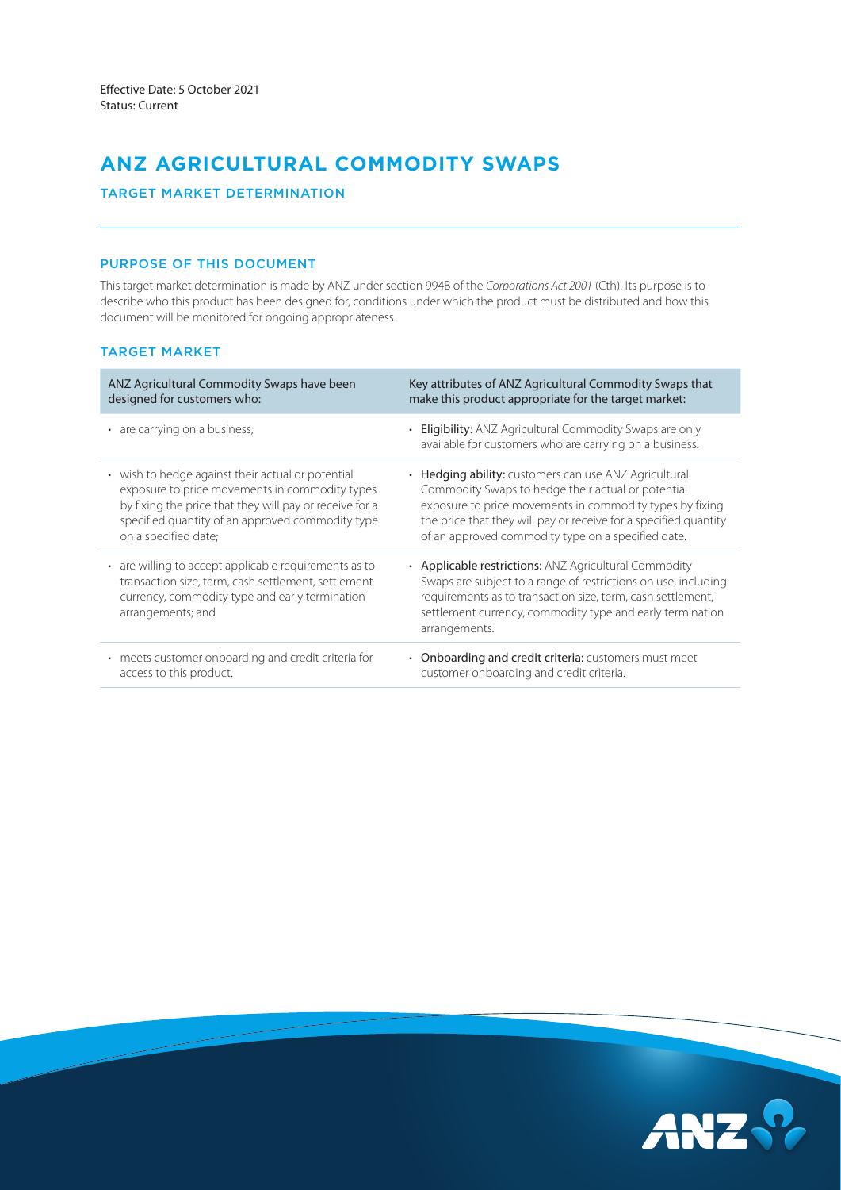# **ANZ AGRICULTURAL COMMODITY SWAPS**

# TARGET MARKET DETERMINATION

# PURPOSE OF THIS DOCUMENT

This target market determination is made by ANZ under section 994B of the *Corporations Act 2001* (Cth). Its purpose is to describe who this product has been designed for, conditions under which the product must be distributed and how this document will be monitored for ongoing appropriateness.

# TARGET MARKET

| ANZ Agricultural Commodity Swaps have been                                                                                                                                          | Key attributes of ANZ Agricultural Commodity Swaps that                                                                                                                                                                                                              |
|-------------------------------------------------------------------------------------------------------------------------------------------------------------------------------------|----------------------------------------------------------------------------------------------------------------------------------------------------------------------------------------------------------------------------------------------------------------------|
| designed for customers who:                                                                                                                                                         | make this product appropriate for the target market:                                                                                                                                                                                                                 |
| • are carrying on a business;                                                                                                                                                       | • Eligibility: ANZ Agricultural Commodity Swaps are only<br>available for customers who are carrying on a business.                                                                                                                                                  |
| • wish to hedge against their actual or potential                                                                                                                                   | • Hedging ability: customers can use ANZ Agricultural                                                                                                                                                                                                                |
| exposure to price movements in commodity types                                                                                                                                      | Commodity Swaps to hedge their actual or potential                                                                                                                                                                                                                   |
| by fixing the price that they will pay or receive for a                                                                                                                             | exposure to price movements in commodity types by fixing                                                                                                                                                                                                             |
| specified quantity of an approved commodity type                                                                                                                                    | the price that they will pay or receive for a specified quantity                                                                                                                                                                                                     |
| on a specified date;                                                                                                                                                                | of an approved commodity type on a specified date.                                                                                                                                                                                                                   |
| • are willing to accept applicable requirements as to<br>transaction size, term, cash settlement, settlement<br>currency, commodity type and early termination<br>arrangements; and | • Applicable restrictions: ANZ Agricultural Commodity<br>Swaps are subject to a range of restrictions on use, including<br>requirements as to transaction size, term, cash settlement,<br>settlement currency, commodity type and early termination<br>arrangements. |
| • meets customer onboarding and credit criteria for                                                                                                                                 | • Onboarding and credit criteria: customers must meet                                                                                                                                                                                                                |
| access to this product.                                                                                                                                                             | customer onboarding and credit criteria.                                                                                                                                                                                                                             |

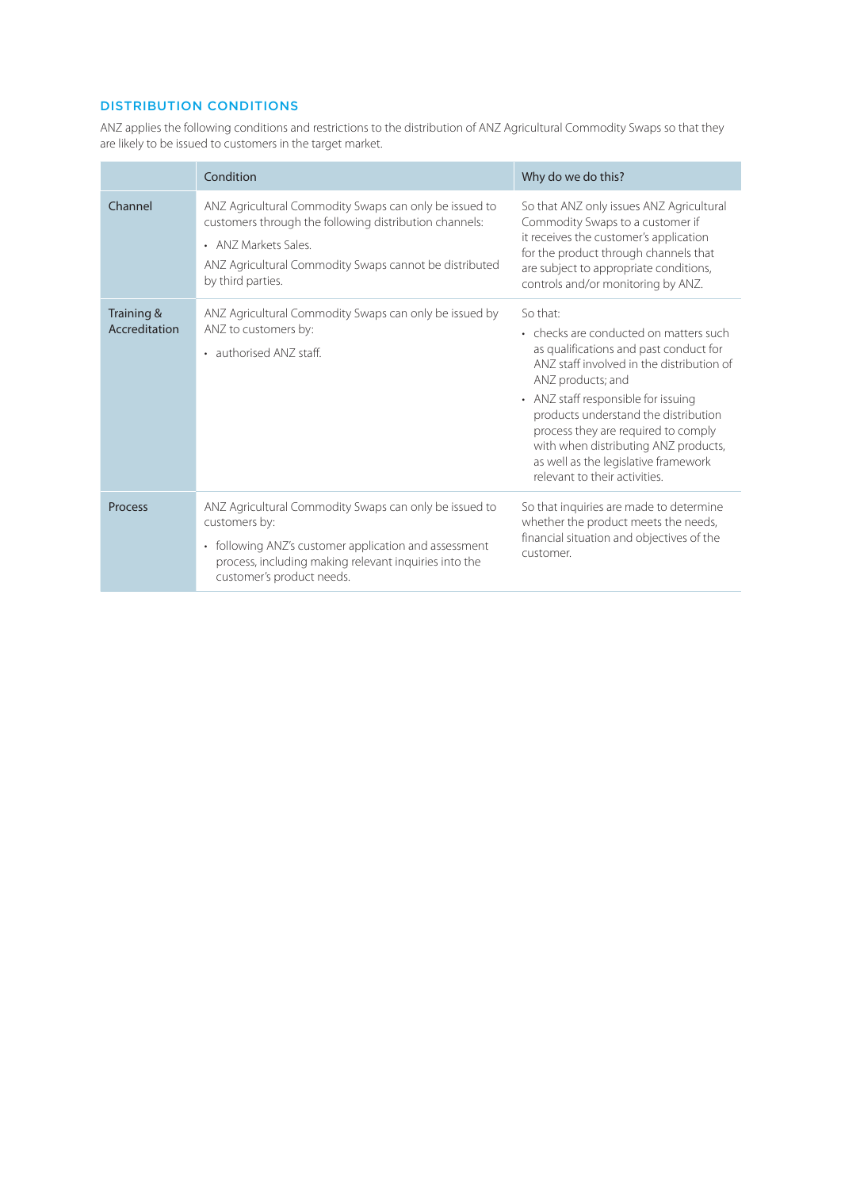# DISTRIBUTION CONDITIONS

ANZ applies the following conditions and restrictions to the distribution of ANZ Agricultural Commodity Swaps so that they are likely to be issued to customers in the target market.

|                             | Condition                                                                                                                                                                                                              | Why do we do this?                                                                                                                                                                                                                                                                                                                                                                                    |
|-----------------------------|------------------------------------------------------------------------------------------------------------------------------------------------------------------------------------------------------------------------|-------------------------------------------------------------------------------------------------------------------------------------------------------------------------------------------------------------------------------------------------------------------------------------------------------------------------------------------------------------------------------------------------------|
| Channel                     | ANZ Agricultural Commodity Swaps can only be issued to<br>customers through the following distribution channels:<br>• ANZ Markets Sales<br>ANZ Agricultural Commodity Swaps cannot be distributed<br>by third parties. | So that ANZ only issues ANZ Agricultural<br>Commodity Swaps to a customer if<br>it receives the customer's application<br>for the product through channels that<br>are subject to appropriate conditions,<br>controls and/or monitoring by ANZ.                                                                                                                                                       |
| Training &<br>Accreditation | ANZ Agricultural Commodity Swaps can only be issued by<br>ANZ to customers by:<br>• authorised ANZ staff.                                                                                                              | So that:<br>• checks are conducted on matters such<br>as qualifications and past conduct for<br>ANZ staff involved in the distribution of<br>ANZ products; and<br>• ANZ staff responsible for issuing<br>products understand the distribution<br>process they are required to comply<br>with when distributing ANZ products,<br>as well as the legislative framework<br>relevant to their activities. |
| <b>Process</b>              | ANZ Agricultural Commodity Swaps can only be issued to<br>customers by:<br>• following ANZ's customer application and assessment<br>process, including making relevant inquiries into the<br>customer's product needs. | So that inquiries are made to determine<br>whether the product meets the needs,<br>financial situation and objectives of the<br>customer.                                                                                                                                                                                                                                                             |